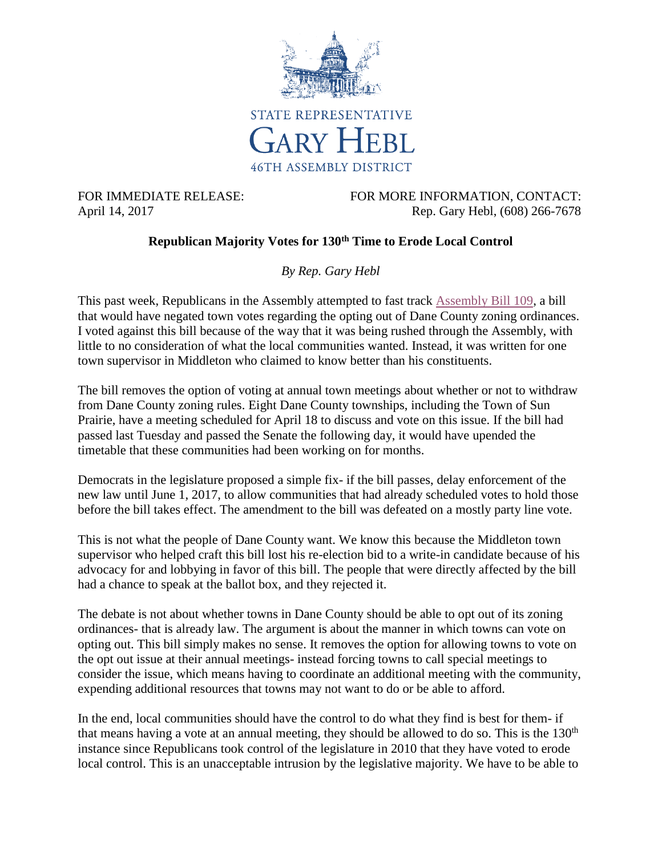

FOR IMMEDIATE RELEASE: FOR MORE INFORMATION, CONTACT: April 14, 2017 Rep. Gary Hebl, (608) 266-7678

## **Republican Majority Votes for 130th Time to Erode Local Control**

*By Rep. Gary Hebl*

This past week, Republicans in the Assembly attempted to fast track [Assembly Bill 109,](http://docs.legis.wisconsin.gov/2017/proposals/reg/asm/bill/ab109) a bill that would have negated town votes regarding the opting out of Dane County zoning ordinances. I voted against this bill because of the way that it was being rushed through the Assembly, with little to no consideration of what the local communities wanted. Instead, it was written for one town supervisor in Middleton who claimed to know better than his constituents.

The bill removes the option of voting at annual town meetings about whether or not to withdraw from Dane County zoning rules. Eight Dane County townships, including the Town of Sun Prairie, have a meeting scheduled for April 18 to discuss and vote on this issue. If the bill had passed last Tuesday and passed the Senate the following day, it would have upended the timetable that these communities had been working on for months.

Democrats in the legislature proposed a simple fix- if the bill passes, delay enforcement of the new law until June 1, 2017, to allow communities that had already scheduled votes to hold those before the bill takes effect. The amendment to the bill was defeated on a mostly party line vote.

This is not what the people of Dane County want. We know this because the Middleton town supervisor who helped craft this bill lost his re-election bid to a write-in candidate because of his advocacy for and lobbying in favor of this bill. The people that were directly affected by the bill had a chance to speak at the ballot box, and they rejected it.

The debate is not about whether towns in Dane County should be able to opt out of its zoning ordinances- that is already law. The argument is about the manner in which towns can vote on opting out. This bill simply makes no sense. It removes the option for allowing towns to vote on the opt out issue at their annual meetings- instead forcing towns to call special meetings to consider the issue, which means having to coordinate an additional meeting with the community, expending additional resources that towns may not want to do or be able to afford.

In the end, local communities should have the control to do what they find is best for them- if that means having a vote at an annual meeting, they should be allowed to do so. This is the  $130<sup>th</sup>$ instance since Republicans took control of the legislature in 2010 that they have voted to erode local control. This is an unacceptable intrusion by the legislative majority. We have to be able to